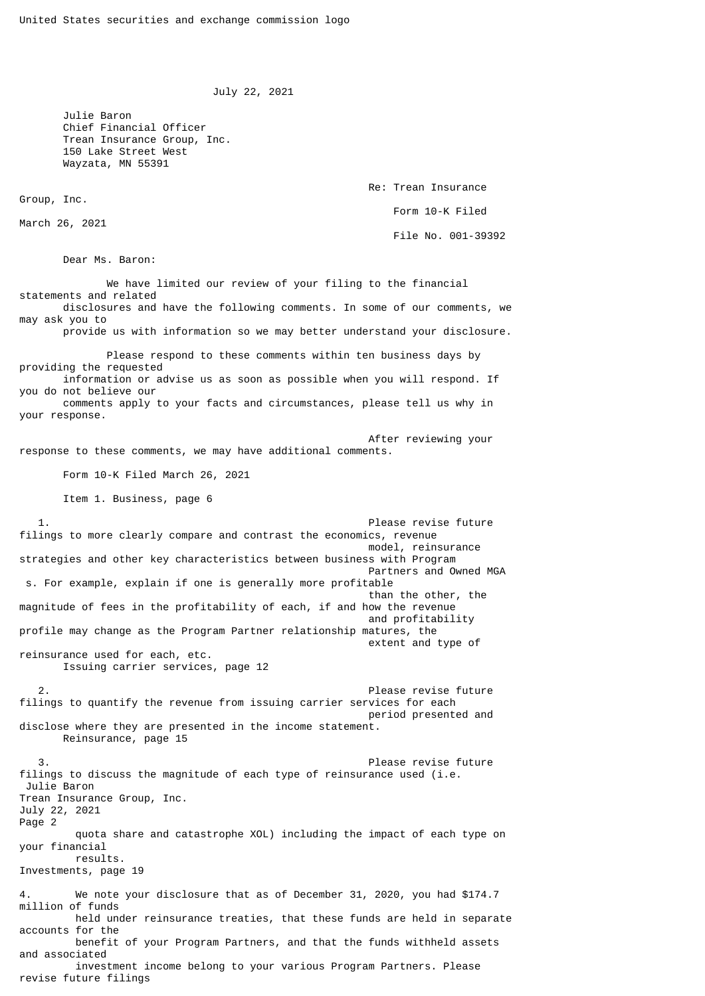```
 July 22, 2021
```
 Julie Baron Chief Financial Officer Trean Insurance Group, Inc. 150 Lake Street West Wayzata, MN 55391

> Re: Trean Insurance Form 10-K Filed File No. 001-39392

March 26, 2021

Group, Inc.

Dear Ms. Baron:

 We have limited our review of your filing to the financial statements and related disclosures and have the following comments. In some of our comments, we may ask you to provide us with information so we may better understand your disclosure.

 Please respond to these comments within ten business days by providing the requested information or advise us as soon as possible when you will respond. If you do not believe our comments apply to your facts and circumstances, please tell us why in your response.

 After reviewing your response to these comments, we may have additional comments.

Form 10-K Filed March 26, 2021

Item 1. Business, page 6

 1. Please revise future filings to more clearly compare and contrast the economics, revenue model, reinsurance strategies and other key characteristics between business with Program Partners and Owned MGA s. For example, explain if one is generally more profitable than the other, the magnitude of fees in the profitability of each, if and how the revenue and profitability profile may change as the Program Partner relationship matures, the extent and type of reinsurance used for each, etc. Issuing carrier services, page 12

 2. Please revise future filings to quantify the revenue from issuing carrier services for each period presented and disclose where they are presented in the income statement. Reinsurance, page 15

 3. Please revise future filings to discuss the magnitude of each type of reinsurance used (i.e. Julie Baron Trean Insurance Group, Inc. July 22, 2021 Page 2 quota share and catastrophe XOL) including the impact of each type on your financial results. Investments, page 19 We note your disclosure that as of December 31, 2020, you had \$174.7 million of funds held under reinsurance treaties, that these funds are held in separate accounts for the benefit of your Program Partners, and that the funds withheld assets and associated

 investment income belong to your various Program Partners. Please revise future filings